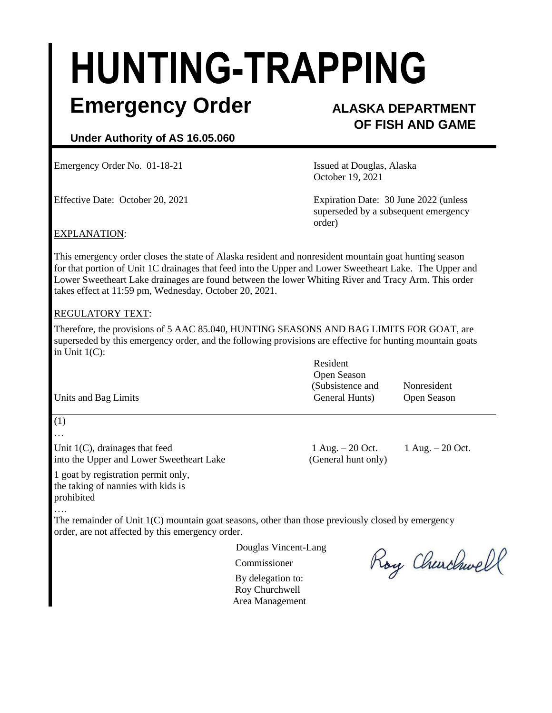# **HUNTING-TRAPPING**

### **Emergency Order ALASKA DEPARTMENT**

## **OF FISH AND GAME**

#### **Under Authority of AS 16.05.060**

Emergency Order No. 01-18-21 **Issued at Douglas, Alaska** 

October 19, 2021

Effective Date: October 20, 2021 Expiration Date: 30 June 2022 (unless superseded by a subsequent emergency order)

#### EXPLANATION:

This emergency order closes the state of Alaska resident and nonresident mountain goat hunting season for that portion of Unit 1C drainages that feed into the Upper and Lower Sweetheart Lake. The Upper and Lower Sweetheart Lake drainages are found between the lower Whiting River and Tracy Arm. This order takes effect at 11:59 pm, Wednesday, October 20, 2021.

#### REGULATORY TEXT:

Therefore, the provisions of 5 AAC 85.040, HUNTING SEASONS AND BAG LIMITS FOR GOAT, are superseded by this emergency order, and the following provisions are effective for hunting mountain goats in Unit 1(C):

|                      | Resident         |             |
|----------------------|------------------|-------------|
|                      | Open Season      |             |
|                      | (Subsistence and | Nonresident |
| Units and Bag Limits | General Hunts)   | Open Season |

(1)

…

Unit 1(C), drainages that feed  $1 \text{ Aug.} - 20 \text{ Oct.} 1 \text{ Aug.} - 20 \text{ Oct.}$ into the Upper and Lower Sweetheart Lake (General hunt only)

1 goat by registration permit only, the taking of nannies with kids is prohibited

….

The remainder of Unit  $1(C)$  mountain goat seasons, other than those previously closed by emergency order, are not affected by this emergency order.

Douglas Vincent-Lang

Commissioner

By delegation to: Roy Churchwell Area Management

Roy Churchwell